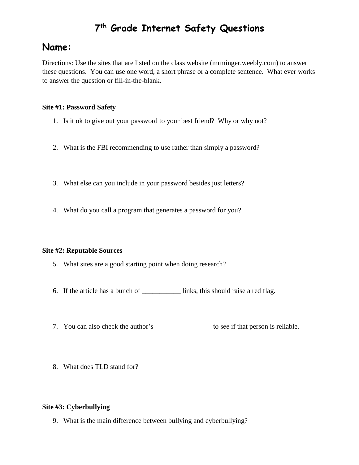# **7 th Grade Internet Safety Questions**

# **Name:**

Directions: Use the sites that are listed on the class website (mrminger.weebly.com) to answer these questions. You can use one word, a short phrase or a complete sentence. What ever works to answer the question or fill-in-the-blank.

## **Site #1: Password Safety**

- 1. Is it ok to give out your password to your best friend? Why or why not?
- 2. What is the FBI recommending to use rather than simply a password?
- 3. What else can you include in your password besides just letters?
- 4. What do you call a program that generates a password for you?

### **Site #2: Reputable Sources**

- 5. What sites are a good starting point when doing research?
- 6. If the article has a bunch of  $\qquad \qquad$  links, this should raise a red flag.
- 7. You can also check the author's to see if that person is reliable.
- 8. What does TLD stand for?

### **Site #3: Cyberbullying**

9. What is the main difference between bullying and cyberbullying?